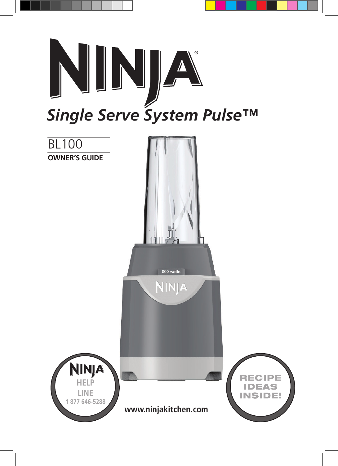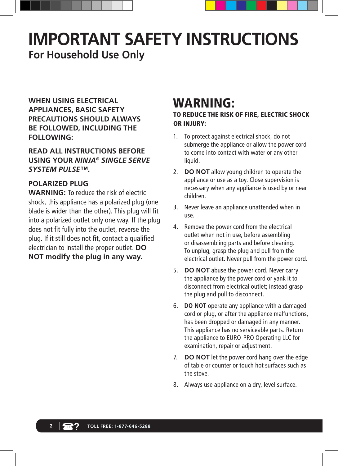# **IMPORTANT SAFETY INSTRUCTIONS For Household Use Only**

**WHEN USING ELECTRICAL APPLIANCES, BASIC SAFETY PRECAUTIONS SHOULD ALWAYS BE FOLLOWED, INCLUDING THE FOLLOWING:**

**READ ALL INSTRUCTIONS BEFORE USING YOUR** *NINJA® SINGLE SERVE SYSTEM PULSE™***.**

## **POLARIZED PLUG**

**WARNING:** To reduce the risk of electric shock, this appliance has a polarized plug (one blade is wider than the other). This plug will fit into a polarized outlet only one way. If the plug does not fit fully into the outlet, reverse the plug. If it still does not fit, contact a qualified electrician to install the proper outlet. **DO NOT modify the plug in any way.**

## WARNING:

TO REDUCE THE RISK OF FIRE, ELECTRIC SHOCK OR INJURY:

- 1. To protect against electrical shock, do not submerge the appliance or allow the power cord to come into contact with water or any other liquid.
- 2. **DO NOT** allow young children to operate the appliance or use as a toy. Close supervision is necessary when any appliance is used by or near children.
- 3. Never leave an appliance unattended when in use.
- 4. Remove the power cord from the electrical outlet when not in use, before assembling or disassembling parts and before cleaning. To unplug, grasp the plug and pull from the electrical outlet. Never pull from the power cord.
- 5. **DO NOT** abuse the power cord. Never carry the appliance by the power cord or yank it to disconnect from electrical outlet; instead grasp the plug and pull to disconnect.
- 6. **DO NOT** operate any appliance with a damaged cord or plug, or after the appliance malfunctions, has been dropped or damaged in any manner. This appliance has no serviceable parts. Return the appliance to EURO-PRO Operating LLC for examination, repair or adjustment.
- 7. **DO NOT** let the power cord hang over the edge of table or counter or touch hot surfaces such as the stove.
- 8. Always use appliance on a dry, level surface.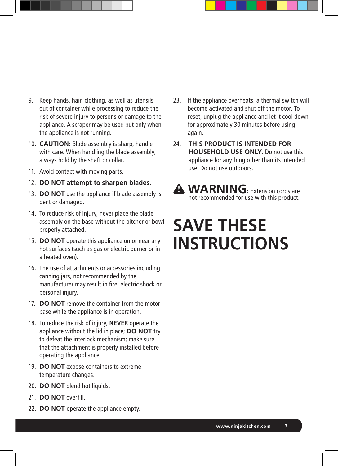- 9. Keep hands, hair, clothing, as well as utensils out of container while processing to reduce the risk of severe injury to persons or damage to the appliance. A scraper may be used but only when the appliance is not running.
- 10. **CAUTION:** Blade assembly is sharp, handle with care. When handling the blade assembly, always hold by the shaft or collar.
- 11. Avoid contact with moving parts.
- 12. **DO NOT attempt to sharpen blades.**
- 13. **DO NOT** use the appliance if blade assembly is bent or damaged.
- 14. To reduce risk of injury, never place the blade assembly on the base without the pitcher or bowl properly attached.
- 15. **DO NOT** operate this appliance on or near any hot surfaces (such as gas or electric burner or in a heated oven).
- 16. The use of attachments or accessories including canning jars, not recommended by the manufacturer may result in fire, electric shock or personal injury.
- 17. **DO NOT** remove the container from the motor base while the appliance is in operation.
- 18. To reduce the risk of injury, **NEVER** operate the appliance without the lid in place; **DO NOT** try to defeat the interlock mechanism; make sure that the attachment is properly installed before operating the appliance.
- 19. **DO NOT** expose containers to extreme temperature changes.
- 20. **DO NOT** blend hot liquids.
- 21. **DO NOT** overfill.
- 22. **DO NOT** operate the appliance empty.
- 23. If the appliance overheats, a thermal switch will become activated and shut off the motor. To reset, unplug the appliance and let it cool down for approximately 30 minutes before using again.
- 24. **THIS PRODUCT IS INTENDED FOR HOUSEHOLD USE ONLY.** Do not use this appliance for anything other than its intended use. Do not use outdoors.

## **A WARNING:** Extension cords are not recommended for use with this product.

# **SAVE THESE INSTRUCTIONS**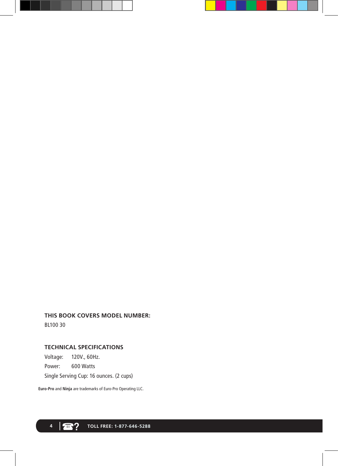#### **THIS BOOK COVERS MODEL NUMBER:**

BL100 30

## **TECHNICAL SPECIFICATIONS**

Voltage: 120V., 60Hz. Power: 600 Watts Single Serving Cup: 16 ounces. (2 cups)

**Euro-Pro** and **Ninja** are trademarks of Euro-Pro Operating LLC.

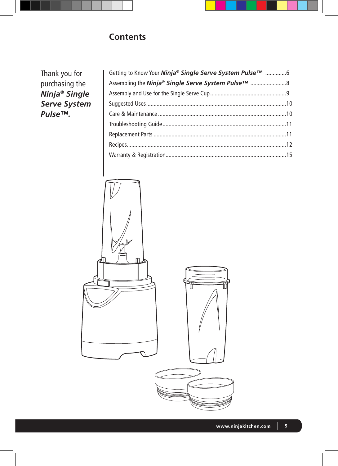## **Contents**

Thank you for purchasing the *Ninja® Single Serve System Pulse™.*

| Getting to Know Your <i>Ninja® Single Serve System Pulse</i> ™ 6 |  |
|------------------------------------------------------------------|--|
| Assembling the <i>Ninja® Single Serve System Pulse</i> ™ 8       |  |
|                                                                  |  |
|                                                                  |  |
|                                                                  |  |
|                                                                  |  |
|                                                                  |  |
|                                                                  |  |
|                                                                  |  |
|                                                                  |  |

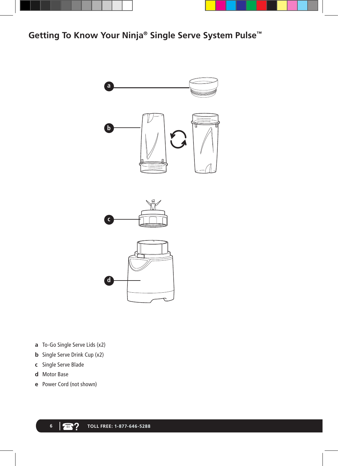



**Getting To Know Your Ninja® Single Serve System Pulse™**



- **a** To-Go Single Serve Lids (x2)
- **b** Single Serve Drink Cup (x2)
- **c** Single Serve Blade
- **d** Motor Base
- **e** Power Cord (not shown)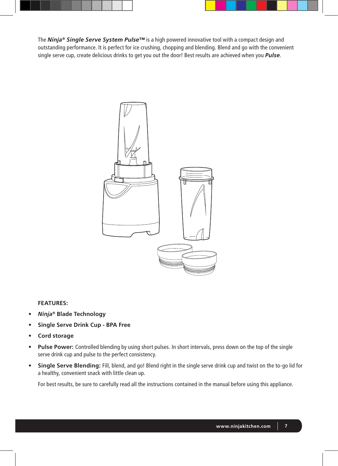The *Ninja® Single Serve System Pulse™* is a high powered innovative tool with a compact design and outstanding performance. It is perfect for ice crushing, chopping and blending. Blend and go with the convenient single serve cup, create delicious drinks to get you out the door! Best results are achieved when you *Pulse*.



#### **FEATURES:**

- **•**  *Ninja®* **Blade Technology**
- **• Single Serve Drink Cup - BPA Free**
- **• Cord storage**
- **• Pulse Power:** Controlled blending by using short pulses. In short intervals, press down on the top of the single serve drink cup and pulse to the perfect consistency.
- **• Single Serve Blending:** Fill, blend, and go! Blend right in the single serve drink cup and twist on the to-go lid for a healthy, convenient snack with little clean up.

For best results, be sure to carefully read all the instructions contained in the manual before using this appliance.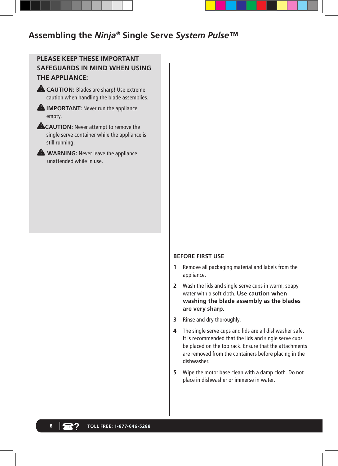## **Assembling the** *Ninja®* **Single Serve** *System Pulse™*

## **PLEASE KEEP THESE IMPORTANT SAFEGUARDS IN MIND WHEN USING THE APPLIANCE:**

- **CAUTION:** Blades are sharp! Use extreme caution when handling the blade assemblies.
- **A IMPORTANT:** Never run the appliance empty.
- **CAUTION:** Never attempt to remove the single serve container while the appliance is still running.
- **A** WARNING: Never leave the appliance unattended while in use.

#### **BEFORE FIRST USE**

- **1** Remove all packaging material and labels from the appliance.
- **2** Wash the lids and single serve cups in warm, soapy water with a soft cloth. **Use caution when washing the blade assembly as the blades are very sharp.**
- **3** Rinse and dry thoroughly.
- **4** The single serve cups and lids are all dishwasher safe. It is recommended that the lids and single serve cups be placed on the top rack. Ensure that the attachments are removed from the containers before placing in the dishwasher.
- **5** Wipe the motor base clean with a damp cloth. Do not place in dishwasher or immerse in water.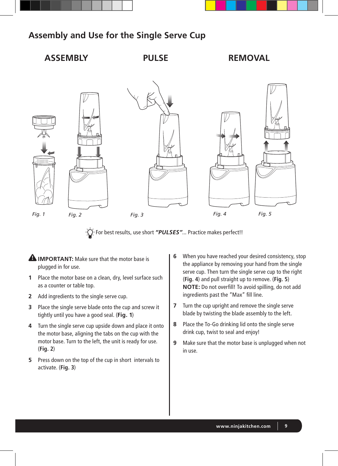

## **Assembly and Use for the Single Serve Cup**



 $\cdot\overleftrightarrow{\text{Q}}$  For best results, use short "PULSES"... Practice makes perfect!!

- **A IMPORTANT:** Make sure that the motor base is plugged in for use.
- **1** Place the motor base on a clean, dry, level surface such as a counter or table top.
- **2** Add ingredients to the single serve cup.
- **3** Place the single serve blade onto the cup and screw it tightly until you have a good seal. (**Fig. 1**)
- **4** Turn the single serve cup upside down and place it onto the motor base, aligning the tabs on the cup with the motor base. Turn to the left, the unit is ready for use. (**Fig. 2**)
- **5** Press down on the top of the cup in short intervals to activate. (**Fig. 3**)
- **6** When you have reached your desired consistency, stop the appliance by removing your hand from the single serve cup. Then turn the single serve cup to the right (**Fig. 4**) and pull straight up to remove. (**Fig. 5**) **NOTE:** Do not overfill! To avoid spilling, do not add ingredients past the "Max" fill line.
- **7** Turn the cup upright and remove the single serve blade by twisting the blade assembly to the left.
- **8** Place the To-Go drinking lid onto the single serve drink cup, twist to seal and enjoy!
- **9** Make sure that the motor base is unplugged when not in use.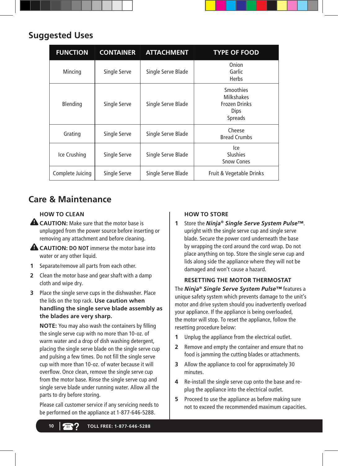| <b>Suggested Uses</b> |  |
|-----------------------|--|

| <b>FUNCTION</b>  | <b>CONTAINER</b> | <b>ATTACHMENT</b>  | <b>TYPE OF FOOD</b>                                                              |
|------------------|------------------|--------------------|----------------------------------------------------------------------------------|
| Mincing          | Single Serve     | Single Serve Blade | Onion<br>Garlic<br><b>Herbs</b>                                                  |
| Blending         | Single Serve     | Single Serve Blade | <b>Smoothies</b><br>Milkshakes<br><b>Frozen Drinks</b><br><b>Dips</b><br>Spreads |
| Grating          | Single Serve     | Single Serve Blade | Cheese<br><b>Bread Crumbs</b>                                                    |
| Ice Crushing     | Single Serve     | Single Serve Blade | lce<br>Slushies<br><b>Snow Cones</b>                                             |
| Complete Juicing | Single Serve     | Single Serve Blade | Fruit & Vegetable Drinks                                                         |

## **Care & Maintenance**

## **HOW TO CLEAN**

- **A CAUTION:** Make sure that the motor base is unplugged from the power source before inserting or removing any attachment and before cleaning.
- **CAUTION: DO NOT** immerse the motor base into water or any other liquid.
- **1** Separate/remove all parts from each other.
- **2** Clean the motor base and gear shaft with a damp cloth and wipe dry.
- **3** Place the single serve cups in the dishwasher. Place the lids on the top rack. **Use caution when handling the single serve blade assembly as the blades are very sharp.**

**NOTE:** You may also wash the containers by filling the single serve cup with no more than 10-oz. of warm water and a drop of dish washing detergent, placing the single serve blade on the single serve cup and pulsing a few times. Do not fill the single serve cup with more than 10-oz. of water because it will overflow. Once clean, remove the single serve cup from the motor base. Rinse the single serve cup and single serve blade under running water. Allow all the parts to dry before storing.

Please call customer service if any servicing needs to be performed on the appliance at 1-877-646-5288.

#### **HOW TO STORE**

**1** Store the *Ninja® Single Serve System Pulse™*. upright with the single serve cup and single serve blade. Secure the power cord underneath the base by wrapping the cord around the cord wrap. Do not place anything on top. Store the single serve cup and lids along side the appliance where they will not be damaged and won't cause a hazard.

#### **RESETTING THE MOTOR THERMOSTAT**

The *Ninja® Single Serve System Pulse™* features a unique safety system which prevents damage to the unit's motor and drive system should you inadvertently overload your appliance. If the appliance is being overloaded, the motor will stop. To reset the appliance, follow the resetting procedure below:

- **1** Unplug the appliance from the electrical outlet.
- **2** Remove and empty the container and ensure that no food is jamming the cutting blades or attachments.
- **3** Allow the appliance to cool for approximately 30 minutes.
- **4** Re-install the single serve cup onto the base and replug the appliance into the electrical outlet.
- **5** Proceed to use the appliance as before making sure not to exceed the recommended maximum capacities.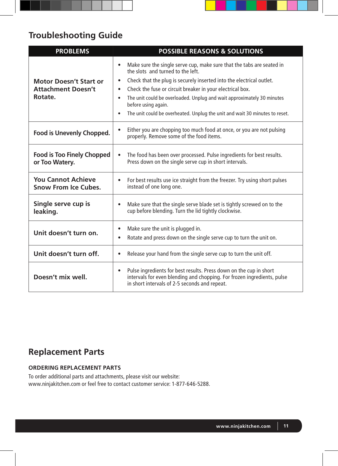## **Troubleshooting Guide**

| <b>PROBLEMS</b>                                                       | <b>POSSIBLE REASONS &amp; SOLUTIONS</b>                                                                                                                                                                                                                                                |
|-----------------------------------------------------------------------|----------------------------------------------------------------------------------------------------------------------------------------------------------------------------------------------------------------------------------------------------------------------------------------|
| <b>Motor Doesn't Start or</b><br><b>Attachment Doesn't</b><br>Rotate. | Make sure the single serve cup, make sure that the tabs are seated in<br>$\bullet$<br>the slots and turned to the left.<br>Check that the plug is securely inserted into the electrical outlet.<br>$\bullet$<br>Check the fuse or circuit breaker in your electrical box.<br>$\bullet$ |
|                                                                       | The unit could be overloaded. Unplug and wait approximately 30 minutes<br>$\bullet$<br>before using again.<br>The unit could be overheated. Unplug the unit and wait 30 minutes to reset.<br>$\bullet$                                                                                 |
| Food is Unevenly Chopped.                                             | Either you are chopping too much food at once, or you are not pulsing<br>$\bullet$<br>properly. Remove some of the food items.                                                                                                                                                         |
| <b>Food is Too Finely Chopped</b><br>or Too Watery.                   | The food has been over processed. Pulse ingredients for best results.<br>$\bullet$<br>Press down on the single serve cup in short intervals.                                                                                                                                           |
| <b>You Cannot Achieve</b><br><b>Snow From Ice Cubes.</b>              | For best results use ice straight from the freezer. Try using short pulses<br>$\bullet$<br>instead of one long one.                                                                                                                                                                    |
| Single serve cup is<br>leaking.                                       | Make sure that the single serve blade set is tightly screwed on to the<br>$\bullet$<br>cup before blending. Turn the lid tightly clockwise.                                                                                                                                            |
| Unit doesn't turn on.                                                 | Make sure the unit is plugged in.<br>$\bullet$<br>Rotate and press down on the single serve cup to turn the unit on.<br>$\bullet$                                                                                                                                                      |
| Unit doesn't turn off.                                                | Release your hand from the single serve cup to turn the unit off.<br>$\bullet$                                                                                                                                                                                                         |
| Doesn't mix well.                                                     | Pulse ingredients for best results. Press down on the cup in short<br>$\bullet$<br>intervals for even blending and chopping. For frozen ingredients, pulse<br>in short intervals of 2-5 seconds and repeat.                                                                            |

## **Replacement Parts**

#### **ORDERING REPLACEMENT PARTS**

To order additional parts and attachments, please visit our website: www.ninjakitchen.com or feel free to contact customer service: 1-877-646-5288.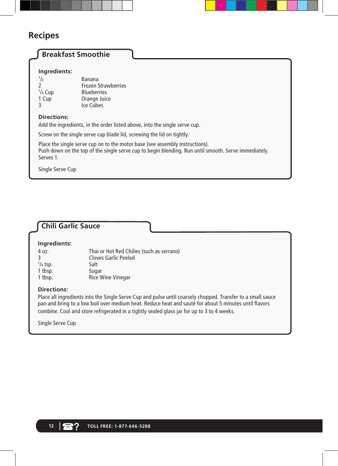## **Recipes**

## **Breakfast Smoothie**

#### **Ingredients:**

| 1/2       | Banana                     |
|-----------|----------------------------|
| 2         | <b>Frozen Strawberries</b> |
| $1/4$ Cup | <b>Blueberries</b>         |
| 1 Cup     | Orange Juice               |
| ς         | Ice Cubes                  |
|           |                            |

#### **Directions:**

Add the ingredients, in the order listed above, into the single serve cup.

Screw on the single serve cup blade lid, screwing the lid on tightly.

Place the single serve cup on to the motor base (see assembly instructions). Push down on the top of the single serve cup to begin blending. Run until smooth. Serve immediately. Serves 1.

Single Serve Cup

## **Chili Garlic Sauce**

#### **Ingredients:**

| 4 oz.              | Thai or Hot Red Chilies (such as serrano) |
|--------------------|-------------------------------------------|
|                    | <b>Cloves Garlic Peeled</b>               |
| $\frac{1}{4}$ tsp. | Salt                                      |
| 1 tbsp.            | Sugar                                     |
| 1 tbsp.            | <b>Rice Wine Vinegar</b>                  |
|                    |                                           |

#### **Directions:**

Place all ingredients into the Single Serve Cup and pulse until coarsely chopped. Transfer to a small sauce pan and bring to a low boil over medium heat. Reduce heat and sauté for about 5 minutes until flavors combine. Cool and store refrigerated in a tightly sealed glass jar for up to 3 to 4 weeks.

Single Serve Cup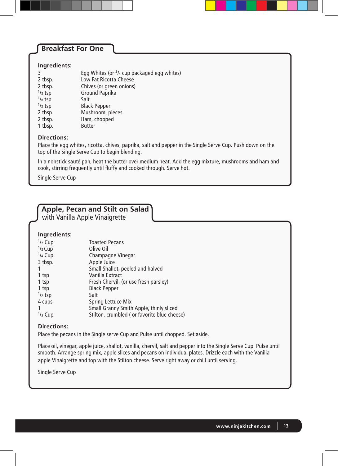## **Breakfast For One**

#### **Ingredients:**

| 3                 | Egg Whites (or <sup>3</sup> /4 cup packaged egg whites) |
|-------------------|---------------------------------------------------------|
| 2 tbsp.           | Low Fat Ricotta Cheese                                  |
| 2 tbsp.           | Chives (or green onions)                                |
| $\frac{1}{3}$ tsp | Ground Paprika                                          |
| $1/s$ tsp         | Salt                                                    |
| $\frac{1}{2}$ tsp | <b>Black Pepper</b>                                     |
| 2 tbsp.           | Mushroom, pieces                                        |
| 2 tbsp.           | Ham, chopped                                            |
| 1 tbsp.           | <b>Butter</b>                                           |

#### **Directions:**

Place the egg whites, ricotta, chives, paprika, salt and pepper in the Single Serve Cup. Push down on the top of the Single Serve Cup to begin blending.

In a nonstick sauté pan, heat the butter over medium heat. Add the egg mixture, mushrooms and ham and cook, stirring frequently until fluffy and cooked through. Serve hot.

Single Serve Cup

## **Apple, Pecan and Stilt on Salad**

with Vanilla Apple Vinaigrette

#### **Ingredients:**

| $1/2$ Cup         | <b>Toasted Pecans</b>                       |
|-------------------|---------------------------------------------|
| $1/2$ Cup         | Olive Oil                                   |
| $1/4$ Cup         | Champagne Vinegar                           |
| 3 tbsp.           | Apple Juice                                 |
|                   | Small Shallot, peeled and halved            |
| 1 tsp             | Vanilla Extract                             |
| 1 tsp             | Fresh Chervil, (or use fresh parsley)       |
| 1 tsp             | <b>Black Pepper</b>                         |
| $\frac{1}{2}$ tsp | Salt                                        |
| 4 cups            | Spring Lettuce Mix                          |
|                   | Small Granny Smith Apple, thinly sliced     |
| $1/3$ Cup         | Stilton, crumbled (or favorite blue cheese) |

#### **Directions:**

Place the pecans in the Single serve Cup and Pulse until chopped. Set aside.

Place oil, vinegar, apple juice, shallot, vanilla, chervil, salt and pepper into the Single Serve Cup. Pulse until smooth. Arrange spring mix, apple slices and pecans on individual plates. Drizzle each with the Vanilla apple Vinaigrette and top with the Stilton cheese. Serve right away or chill until serving.

Single Serve Cup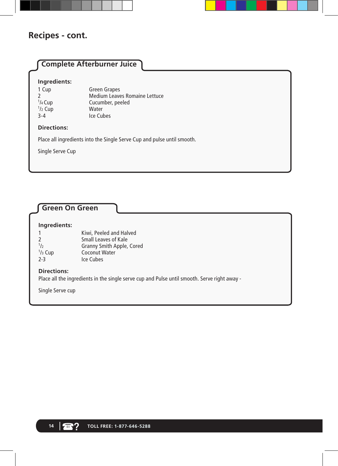## **Recipes - cont.**

## **Complete Afterburner Juice Ingredients:** 1 Cup Green Grapes<br>2 Medium Leave Medium Leaves Romaine Lettuce  $1/4$  Cup Cucumber, peeled<br>Water 1 /2 Cup Water 3-4 Ice Cubes **Directions:** Place all ingredients into the Single Serve Cup and pulse until smooth. Single Serve Cup

## **Green On Green**

#### **Ingredients:**

| Kiwi, Peeled and Halved          |
|----------------------------------|
| Small Leaves of Kale             |
| <b>Granny Smith Apple, Cored</b> |
| Coconut Water                    |
| Ice Cubes                        |
|                                  |

#### **Directions:**

Place all the ingredients in the single serve cup and Pulse until smooth. Serve right away -

Single Serve cup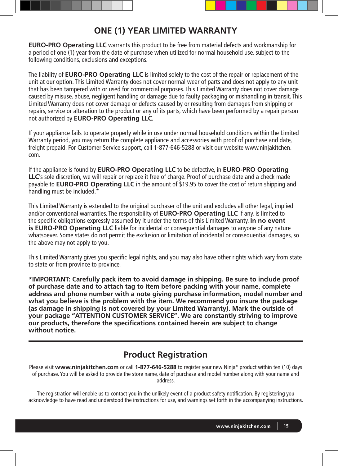

**EURO-PRO Operating LLC** warrants this product to be free from material defects and workmanship for a period of one (1) year from the date of purchase when utilized for normal household use, subject to the following conditions, exclusions and exceptions.

The liability of **EURO-PRO Operating LLC** is limited solely to the cost of the repair or replacement of the unit at our option. This Limited Warranty does not cover normal wear of parts and does not apply to any unit that has been tampered with or used for commercial purposes. This Limited Warranty does not cover damage caused by misuse, abuse, negligent handling or damage due to faulty packaging or mishandling in transit. This Limited Warranty does not cover damage or defects caused by or resulting from damages from shipping or repairs, service or alteration to the product or any of its parts, which have been performed by a repair person not authorized by **EURO-PRO Operating LLC**.

If your appliance fails to operate properly while in use under normal household conditions within the Limited Warranty period, you may return the complete appliance and accessories with proof of purchase and date, freight prepaid. For Customer Service support, call 1-877-646-5288 or visit our website www.ninjakitchen. com.

If the appliance is found by **EURO-PRO Operating LLC** to be defective, in **EURO-PRO Operating LLC**'s sole discretion, we will repair or replace it free of charge. Proof of purchase date and a check made payable to **EURO-PRO Operating LLC** in the amount of \$19.95 to cover the cost of return shipping and handling must be included.\*

This Limited Warranty is extended to the original purchaser of the unit and excludes all other legal, implied and/or conventional warranties. The responsibility of **EURO-PRO Operating LLC** if any, is limited to the specific obligations expressly assumed by it under the terms of this Limited Warranty. **In no event is EURO-PRO Operating LLC** liable for incidental or consequential damages to anyone of any nature whatsoever. Some states do not permit the exclusion or limitation of incidental or consequential damages, so the above may not apply to you.

This Limited Warranty gives you specific legal rights, and you may also have other rights which vary from state to state or from province to province.

**\*IMPORTANT: Carefully pack item to avoid damage in shipping. Be sure to include proof of purchase date and to attach tag to item before packing with your name, complete address and phone number with a note giving purchase information, model number and what you believe is the problem with the item. We recommend you insure the package (as damage in shipping is not covered by your Limited Warranty). Mark the outside of your package "ATTENTION CUSTOMER SERVICE". We are constantly striving to improve our products, therefore the specifications contained herein are subject to change without notice.**

## **Product Registration**

Please visit **www.ninjakitchen.com** or call **1-877-646-5288** to register your new Ninja® product within ten (10) days of purchase. You will be asked to provide the store name, date of purchase and model number along with your name and address.

The registration will enable us to contact you in the unlikely event of a product safety notification. By registering you acknowledge to have read and understood the instructions for use, and warnings set forth in the accompanying instructions.